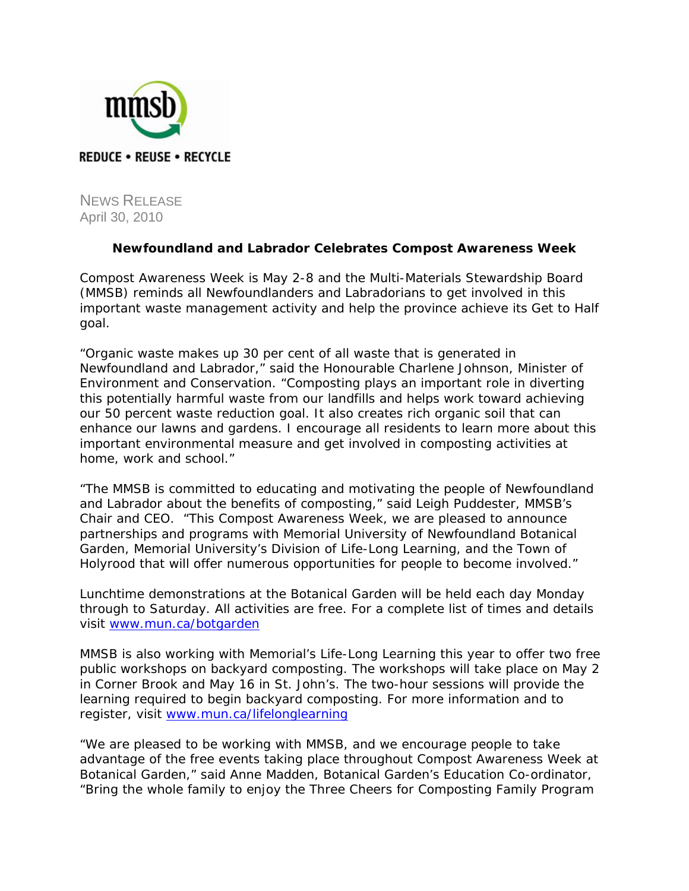

NEWS RELEASE April 30, 2010

## **Newfoundland and Labrador Celebrates Compost Awareness Week**

Compost Awareness Week is May 2-8 and the Multi-Materials Stewardship Board (MMSB) reminds all Newfoundlanders and Labradorians to get involved in this important waste management activity and help the province achieve its *Get to Half* goal.

"Organic waste makes up 30 per cent of all waste that is generated in Newfoundland and Labrador," said the Honourable Charlene Johnson, Minister of Environment and Conservation. "Composting plays an important role in diverting this potentially harmful waste from our landfills and helps work toward achieving our 50 percent waste reduction goal. It also creates rich organic soil that can enhance our lawns and gardens. I encourage all residents to learn more about this important environmental measure and get involved in composting activities at home, work and school."

"The MMSB is committed to educating and motivating the people of Newfoundland and Labrador about the benefits of composting," said Leigh Puddester, MMSB's Chair and CEO. "This Compost Awareness Week, we are pleased to announce partnerships and programs with Memorial University of Newfoundland Botanical Garden, Memorial University's Division of Life-Long Learning, and the Town of Holyrood that will offer numerous opportunities for people to become involved."

Lunchtime demonstrations at the Botanical Garden will be held each day Monday through to Saturday. All activities are free. For a complete list of times and details visit www.mun.ca/botgarden

MMSB is also working with Memorial's Life-Long Learning this year to offer two free public workshops on backyard composting. The workshops will take place on May 2 in Corner Brook and May 16 in St. John's. The two-hour sessions will provide the learning required to begin backyard composting. For more information and to register, visit www.mun.ca/lifelonglearning

"We are pleased to be working with MMSB, and we encourage people to take advantage of the free events taking place throughout Compost Awareness Week at Botanical Garden," said Anne Madden, Botanical Garden's Education Co-ordinator, "Bring the whole family to enjoy the Three Cheers for Composting Family Program